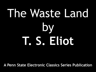# The Waste Land by **T. S. Eliot**

**A Penn State Electronic Classics Series Publication**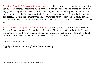*The Waste Land* by T.(homas) S.(tearns) Eliot is a publication of the Pennsylvania State University. This Portable Document file is furnished free and without any charge of any kind. Any person using this document file, for any purpose, and in any way does so at his or her own risk. Neither the Pennsylvania State University nor Jim Manis, Faculty Editor, nor anyone associated with the Pennsylvania State University assumes any responsibility for the material contained within the document or for the file as an electronic transmission, in any way.

*The Waste Land* by T.(homas) S.(tearns) Eliot*,* the Pennsylvania State University, *Electronic Classics Series*, Jim Manis, Faculty Editor, Hazleton, PA 18201-1291 is a Portable Document File produced as part of an ongoing student publication project to bring classical works of literature, in English, to free and easy access of those wishing to make use of them.

Cover Design: Jim Manis

Copyright © 2000 The Pennsylvania State University

The Pennsylvania State University is an equal opportunity university.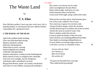by

# **T. S. Eliot**

*Nam Sibyllam quidem Cumis ego ipse oculis meis vidi in ampulla pendere, et cum illi pueri dicerent: Sibylla ti theleis; respondebat illa: apothanein thelo.*

# **I. THE BURIAL OF THE DEAD**

April is the cruellest month, breeding Lilacs out of the dead land, mixing Memory and desire, stirring Dull roots with spring rain. Winter kept us warm, covering Earth in forgetful snow, feeding A little life with dried tubers. Summer surprised us, coming over the Starnbergersee With a shower of rain; we stopped in the colonnade, And went on in sunlight, into the Hofgarten,  $10$ And drank coffee, and talked for an hour. Bin gar keine Russin, stamm' aus Litauen, echt deutsch. And when we were children, staying at the archduke's,

# T. S. Eliot

My cousin's, he took me out on a sled, And I was frightened. He said, Marie, Marie, hold on tight. And down we went. In the mountains, there you feel free. I read, much of the night, and go south in the winter.

What are the roots that clutch, what branches grow Out of this stony rubbish? Son of man, 20 You cannot say, or guess, for you know only A heap of broken images, where the sun beats, And the dead tree gives no shelter, the cricket no relief, And the dry stone no sound of water. Only There is shadow under this red rock, (Come in under the shadow of this red rock), And I will show you something different from either Your shadow at morning striding behind you Or your shadow at evening rising to meet you; I will show you fear in a handful of dust.  $30$ 

 *Frisch weht der Wind Der Heimat zu. Mein Irisch Kind, Wo weilest du?*

'You gave me hyacinths first a year ago; 'They called me the hyacinth girl.'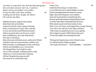*Yet when we came back, late, from the Hyacinth garden, Your arms full, and your hair wet, I could not Speak, and my eyes failed, I was neither Living nor dead, and I knew nothing,* 40 *Looking into the heart of light, the silence. Od' und leer das Meer.*

Madame Sosostris, famous clairvoyante, Had a bad cold, nevertheless Is known to be the wisest woman in Europe, With a wicked pack of cards. Here, said she, Is your card, the drowned Phoenician Sailor, (Those are pearls that were his eyes. Look!) Here is Belladonna, the Lady of the Rocks, The lady of situations. 50 Here is the man with three staves, and here the Wheel, And here is the one-eyed merchant, and this card, Which is blank, is something he carries on his back, Which I am forbidden to see. I do not find The Hanged Man. Fear death by water. I see crowds of people, walking round in a ring. Thank you. If you see dear Mrs. Equitone, Tell her I bring the horoscope myself: One must be so careful these days.

Unreal City, 60

Under the brown fog of a winter dawn, A crowd flowed over London Bridge, so many, I had not thought death had undone so many. Sighs, short and infrequent, were exhaled, And each man fixed his eyes before his feet. Flowed up tbe hill and down King William Street, To where Saint Mary Woolnoth kept the hours With a dead sound on the final stroke of nine. There I saw one I knew, and stopped him, crying 'Stetson! 'You who were with me in the ships at Mylae! 70 'That corpse you planted last year in your garden, 'Has it begun to sprout? Will it bloom this year? 'Or has the sudden frost disturbed its bed?

'Oh keep the Dog far hence, that's friend to men, 'Or with his nails he'll dig it up again! 'You! hypocrite lecteur! — mon semblable, — mon frère!'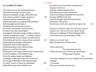#### **II. A GAME OF CHESS**

The Chair she sat in, like a burnished throne, Glowed on the marble, where the glass Held up by standards wrought with fruited vines From which a golden Cupidon peeped out 80 (Another hid his eyes behind his wing) Doubled the flames of sevenbranched candelabra Reflecting light upon the table as The glitter of her jewels rose to meet it, From satin cases poured in rich profusion; In vials of ivory and coloured glass Unstoppered, lurked her strange synthetic perfumes, Unguent, powdered, or liquid — troubled, confused And drowned the sense in odours; stirred by the air That freshened from the window, these ascended 90 In fattening the prolonged candle-flames, Flung their smoke into the laquearia, Stirring the pattern on the coffered ceiling. Huge sea-wood fed with copper Burned green and orange, framed by the coloured stone, In which sad light a carved dolphin swam. Above the antique mantel was displayed As though a window gave upon the sylvan scene The change of Philomel, by the barbarous king So rudely forced; yet there the nightingale 100 Filled all the desert with inviolable voice

# T. S. Eliot

| And still she cried, and still the world pursues,   |     |
|-----------------------------------------------------|-----|
| 'Jug Jug' to dirty ears.                            |     |
| And other withered stumps of time                   |     |
| Were told upon the walls; staring forms             |     |
| Leaned out, leaning, hushing the room enclosed.     |     |
| Footsteps shuffled on the stair.                    |     |
| Under the firelight, under the brush, her hair      |     |
| Spread out in fiery points                          |     |
| Glowed into words, then would be savagely still,    | 110 |
|                                                     |     |
| 'My nerves are had to-night. Yes, had, Stay with me |     |

'My nerves are bad to-night. Yes, bad. Stay with me. 'Speak to me. Why do you never speak? Speak. 'What are you thinking of? What thinking? What? 'I never know what you are thinking. Think.'

I think we are in rats' alley Where the dead men lost their bones.

'What is that noise?' The wind under the door. 'What is that noise now? What is the wind doing?' Nothing again nothing. 120 'Do 'You know nothing? Do you see nothing? Do you remember 'Nothing?' I remember Those are pearls that were his eyes.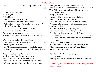| 'Are you alive, or not? Is there nothing in your head?'      |            | And if you don't give it him, there's others will, I said.               |     |
|--------------------------------------------------------------|------------|--------------------------------------------------------------------------|-----|
|                                                              | <b>But</b> | Oh is there, she said. Something o' that, I said.                        | 150 |
|                                                              |            | Then I'll know who to thank, she said, and give me a                     |     |
| OOOO that Shakespeherian Rag —                               |            | straight look.                                                           |     |
| It's so elegant                                              |            | Hurry up please it's time                                                |     |
| So intelligent                                               | 130        | If you don't like it you can get on with it, I said.                     |     |
| 'What shall I do now? What shall I do?'                      |            | Others can pick and choose if you can't.                                 |     |
| I shall rush out as I am, and walk the street                |            | But if Albert makes off, it won't be for lack of telling.                |     |
| 'With my hair down, so. What shall we do to-morrow?          |            | You ought to be ashamed, I said, to look so antique.                     |     |
| 'What shall we ever do?'                                     |            | (And her only thirty-one.)                                               |     |
| The hot water at ten.                                        |            | I can't help it, she said, pulling a long face,                          |     |
| And if it rains, a closed car at four.                       |            | It's them pills I took, to bring it off, she said.                       |     |
| And we shall play a game of chess,                           |            | (She's had five already, and nearly died of young                        |     |
| Pressing lidless eyes and waiting for a knock upon the door. |            | George.)                                                                 | 160 |
|                                                              |            | The chemist said it would be alright, but I've never been the            |     |
| When Lil's husband got demobbed, I said —                    |            | same.                                                                    |     |
| I didn't mince my words, I said to her myself,               | 140        | You are a proper fool, I said.                                           |     |
| Hurry up please it's time                                    |            | Well, if Albert won't leave you alone, there it is, I said,              |     |
| Now Albert's coming back, make yourself a bit smart.         |            | What you get married for if you don't want children?                     |     |
| He'll want to know what you done with that money he gave     |            | Hurry up please it's time                                                |     |
| you                                                          |            |                                                                          |     |
| To get yourself some teeth. He did, I was there.             |            | Well, that Sunday Albert was home, they had a hot                        |     |
| You have them all out, Lil, and get a nice set,              |            | gammon,                                                                  |     |
| He said, I swear, I can't bear to look at you.               |            | And they asked me in to dinner, to get the beauty of it hot—             |     |
| And no more can't I, I said, and think of poor Albert,       |            |                                                                          |     |
| He's been in the army four years, he wants a good time,      |            | Line 161 <i>alright</i> . This spelling occurs also in the Hogarth Press |     |
|                                                              |            | edition — Editor.                                                        |     |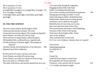*Hurry up please it's time Hurry up please it's time* Goonight Bill. Goonight Lou. Goonight May. Goonight. 170 Ta ta. Goonight. Goonight. Good night, ladies, good night, sweet ladies, good night, good night.

# **III. THE FIRE SERMON**

The river's tent is broken: the last fingers of leaf Clutch and sink into the wet bank. The wind Crosses the brown land, unheard. The nymphs are departed. Sweet Thames, run softly, till I end my song. The river bears no empty bottles, sandwich papers, Silk handkerchiefs, cardboard boxes, cigarette ends Or other testimony of summer nights. The nymphs are departed.

And their friends, the loitering heirs of city directors; 180 Departed, have left no addresses.

By the waters of Leman I sat down and wept . . . Sweet Thames, run softly till I end my song, Sweet Thames, run softly, for I speak not loud or long. But at my back in a cold blast I hear The rattle of the bones, and chuckle spread from ear to ear.

A rat crept softly through the vegetation Dragging its slimy belly on the bank While I was fishing in the dull canal On a winter evening round behind the gashouse 190 Musing upon the king my brother's wreck And on the king my father's death before him. White bodies naked on the low damp ground And bones cast in a little low dry garret, Rattled by the rat's foot only, year to year. But at my back from time to time I hear The sound of horns and motors, which shall bring Sweeney to Mrs. Porter in the spring. O the moon shone bright on Mrs. Porter And on her daughter 200 They wash their feet in soda water *Et, O ces voix d'enfants, chantant dans la coupole!*

Twit twit twit Jug jug jug jug jug jug So rudely forc'd. Tereu

Unreal City Under the brown fog of a winter noon Mr. Eugenides, the Smyrna merchant Unshaven, with a pocket full of currants 210 C.i.f. London: documents at sight,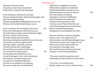Asked me in demotic French To luncheon at the Cannon Street Hotel Followed by a weekend at the Metropole.

At the violet hour, when the eyes and back Turn upward from the desk, when the human engine waits Like a taxi throbbing waiting, I Tiresias, though blind, throbbing between two lives, Old man with wrinkled female breasts, can see

At the violet hour, the evening hour that strives 220 Homeward, and brings the sailor home from sea, The typist home at teatime, clears her breakfast, lights Her stove, and lays out food in tins. Out of the window perilously spread Her drying combinations touched by the sun's last rays, On the divan are piled (at night her bed) Stockings, slippers, camisoles, and stays. I Tiresias, old man with wrinkled dugs Perceived the scene, and foretold the rest — I too awaited the expected guest. 230 He, the young man carbuncular, arrives, A small house agent's clerk, with one bold stare, One of the low on whom assurance sits As a silk hat on a Bradford millionaire. The time is now propitious, as he guesses, The meal is ended, she is bored and tired,

Endeavours to engage her in caresses Which still are unreproved, if undesired. Flushed and decided, he assaults at once; Exploring hands encounter no defence; 240 His vanity requires no response, And makes a welcome of indifference. (And I Tiresias have foresuffered all Enacted on this same divan or bed; I who have sat by Thebes below the wall And walked among the lowest of the dead.) Bestows one final patronising kiss, And gropes his way, finding the stairs unlit …

She turns and looks a moment in the glass, Hardly aware of her departed lover; 250 Her brain allows one half-formed thought to pass: 'Well now that's done: and I'm glad it's over.' When lovely woman stoops to folly and Paces about her room again, alone, She smoothes her hair with automatic hand, And puts a record on the gramophone.

'This music crept by me upon the waters' And along the Strand, up Queen Victoria Street.

O City city, I can sometimes hear Beside a public bar in Lower Thames Street, 260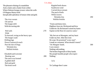#### The pleasant whining of a mandoline And a clatter and a chatter from within Where fishmen lounge at noon: where the walls Of Magnus Martyr hold Inexplicable splendour of Ionian white and gold. The river sweats Oil and tar The barges drift With the turning tide Red sails 270 Wide To leeward, swing on the heavy spar. The barges wash Drifting logs Down Greenwich reach Past the Isle of Dogs. Weialala leia Wallala leialala Elizabeth and Leicester Beating oars 280 The stern was formed A gilded shell Red and gold Rippled both shores Southwest wind Carried down stream The peal of bells White towers Weialala leia 290 Wallala leialala 'Trams and dusty trees. Highbury bore me. Richmond and Kew Undid me. By Richmond I raised my knees Supine on the floor of a narrow canoe.' 'My feet are at Moorgate, and my heart Under my feet. After the event He wept. He promised "a new start". I made no comment. What should I resent?' 'On Margate Sands. 300 I can connect Nothing with nothing. The broken fingernails of dirty hands. My people humble people who expect Nothing.' la la To Carthage then I came

T. S. Eliot

The brisk swell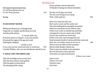Burning burning burning burning 0 Lord Thou pluckest me out 0 Lord Thou pluckest 310

burning

# **IV. DEATH BY WATER**

Phlebas the Phoenician, a fortnight dead, Forgot the cry of gulls, and the deep sea swell And the profit and loss.

 A current under sea Picked his bones in whispers. As he rose and fell He passed the stages of his age and youth Entering the whirlpool.

 Gentile or Jew O you who turn the wheel and look to windward, 320 Consider Phlebas, who was once handsome and tall as you.

# **V. WHAT THE THUNDER SAID**

After the torchlight red on sweaty faces After the frosty silence in the gardens After the agony in stony places The shouting and the crying

Prison and place and reverberation Of thunder of spring over distant mountains

He who was living is now dead We who were living are now dying With a little patience 330

Here is no water but only rock Rock and no water and the sandy road The road winding above among the mountains Which are mountains of rock without water If there were water we should stop and drink Amongst the rock one cannot stop or think Sweat is dry and feet are in the sand If there were only water amongst the rock Dead mountain mouth of carious teeth that cannot spit Here one can neither stand nor lie nor sit 340 There is not even silence in the mountains But dry sterile thunder without rain There is not even solitude in the mountains But red sullen faces sneer and snarl From doors of mudcracked houses

If there were water

And no rock If there were rock And also water And water

10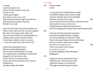A spring 350 A pool among the rock If there were the sound of water only Not the cicada And dry grass singing But sound of water over a rock Where the hermit-thrush sings in the pine trees Drip drop drip drop drop drop drop But there is no water

Who is the third who walks always beside you? When I count, there are only you and I together 360 But when I look ahead up the white road There is always another one walking beside you Gliding wrapt in a brown mantle, hooded I do not know whether a man or a woman — But who is that on the other side of you?

What is that sound high in the air Murmur of maternal lamentation Who are those hooded hordes swarming Over endless plains, stumbling in cracked earth Ringed by the flat horizon only 370 What is the city over the mountains Cracks and reforms and bursts in the violet air Falling towers Jerusalem Athens Alexandria

#### T. S. Eliot

# Vienna London Unreal

A woman drew her long black hair out tight And fiddled whisper music on those strings And bats with baby faces in the violet light Whistled, and beat their wings 380 And crawled head downward down a blackened wall And upside down in air were towers Tolling reminiscent bells, that kept the hours And voices singing out of empty cisterns and exhausted wells.

In this decayed hole among the mountains In the faint moonlight, the grass is singing Over the tumbled graves, about the chapel There is the empty chapel, only the wind's home. It has no windows, and the door swings, Dry bones can harm no one. 390 Only a cock stood on the rooftree Co co rico co co rico In a flash of lightning. Then a damp gust Bringing rain

Ganga was sunken, and the limp leaves Waited for rain, while the black clouds Gathered far distant, over Himavant. The jungle crouched, humped in silence.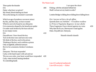Then spoke the thunder  $DA$  400 *Datta*: what have we given? My friend, blood shaking my heart The awful daring of a moment's surrender

Which an age of prudence can never retract By this, and this only, we have existed Which is not to be found in our obituaries Or in memories draped by the beneficent spider Or under seals broken by the lean solicitor In our empty rooms

#### $DA$  410

*Dayadhvam*: I have heard the key Turn in the door once and turn once only We think of the key, each in his prison Thinking of the key, each confirms a prison Only at nightfall, aetherial rumours Revive for a moment a broken Coriolanus D<sub>A</sub> *Damyata*: The boat responded Gaily, to the hand expert with sail and oar

The sea was calm, your heart would have responded 420 Gaily, when invited, beating obedient

To controlling hands

 I sat upon the shore Fishing, with the arid plain behind me Shall I at least set my lands in order?

London Bridge is falling down falling down falling down

*Poi s'ascose nel foco che gli affina Quando fiam ceu chelidon*— O swallow swallow Le Prince d'Aquitaine & agrave; la tour abolie These fragments I have shored against my ruins 430 Why then Ile fit you. Hieronymo's mad againe. Datta. Dayadhvam. Damyata.

Shantih shantih shantih

Line 415 aetherial (aethereal) Line 428 ceu (uti) — Editor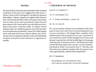# **NOTES**

Not only the title, but the plan and a good deal of the incidental symbolism of the poem were suggested by Miss Jessie L. Weston's book on the Grail legend: *From Ritual to Romance* (Macmillan).\* Indeed, so deeply am I indebted, Miss Weston's book will elucidate the diffi-culties of the poem much better than my notes can do; and I recommend it (apart from the great interest of the book itself) to any who think such elucidation of the poem worth the trouble. To another work of anthropo-logy I am indebted in general, one which has influenced our generation profoundly; I mean *The Golden Bough*; I have used especially the two volumes *Adonis, Attis, Osiris*. Anyone who is acquainted with these works will immediately recognize in the poem certain references to vegetation ceremonies.

\*Macmillan (Cambridge).

# **I. THE BURIAL OF THE DEAD**

Line 20. Cf. Ezekiel 2:7.

23. Cf. Ecclesiastes 12:5.

31. *V. Tristan und Isolde*, i, verses 5-8.

#### 42. Id. iii, verse 24.

46. I am not familiar with the exact constitution of the Tarot pack of cards, from which I have obviously departed to suit my own convenience. The Hanged Man, a member of the traditional pack, fits my purpose in two ways: because he is associated in my mind with the Hanged God of Frazer, and because I associate him with the hooded figure in the passage of the disciples to Emmaus in Part V. The Phoenician Sailor and the Merchant appear later; also the 'crowds of people', and Death by Water is executed in Part IV. The Man with Three Staves (an authentic member of the Tarot pack) I associate, quite arbitrarily, with the Fisher King himself.

#### 60. Cf. Baudelaire:

 *Fourmillante cité, cité pleine de réves, Où le spectre en plein jour raccroche le passant.*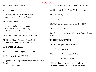63. Cf. INFERNO, iii. 55-7.

*si lunga tratta*

 *di gente, ch'io non avrei mai creduto che morte tanta n'avesse disfatta.*

64. Cf. INFERNO, iv. 25-7:

 *Quivi, secondo che per ascoltare, non avea pianto, ma' che di sospiri, che l'aura eterna facevan tremare.*

68. A phenomenon which I have often noticed.

74. Cf. the Dirge in Webster's *White Devil* . 76. *V.* Baudelaire, Preface to *Fleurs du Mal*.

#### **II. A GAME OF CHESS**

77. Cf. *Antony and Cleopatra*, II. ii. 190.

92. Laquearia. *V. Aeneid*, I. 726:

 dependent lychni laquearibus aureis incensi, et noctem flammis

funalia vincunt.

The Waste Land

98. Sylvan scene. *V.* Milton, *Paradise Lost*, iv. 140.

99. *V.* Ovid, *METAMORPHOSES*, vi, Philomela.

100. Cf. Part III, 1. 204.

115. Cf. Part III, 1. 195.

118. Cf. Webster: 'Is the wind in that door still?'

126. Cf. Part I, l. 37, 48.

138. Cf. the game of chess in Middleton's *Women beware Women*.

#### **III. THE FIRE SERMON**

176. V. Spenser, PROTHALAMION.

192. Cf. *The Tempest*, i. ii.

196. Cf. Marvell, *To His Coy Mistress*.

197. Cf. Day, *Parliament of Bees*:

 When of the sudden, listening, you shall hear, A noise of horns and hunting, which shall bring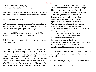Actaeon to Diana in the spring, Where all shall see her naked skin

199. I do not know the origin of the ballad from which these lines are taken: it was reported to me from Sydney, Australia.

202. *V.* Verlaine, *PARSIFAL*.

210. The currants were quoted at a price 'carriage and insurance free to London'; and the Bill of Lading, etc., were to be handed to the buyer upon payment of the sight draft.

Notes 196 and 197 were transposed in this and the Hogarth Press edition, but have been corrected here.

210. 'Carriage and insurance free'( 'cost, insurance and freight')—Editor.

218. Tiresias, although a mere spectator and not indeed a 'character', is yet the most important personage in the poem, uniting all the rest. Just as the one-eyed merchant, seller of currants, melts into the Phoenician Sailor, and the latter is not wholly distinct from Ferdinand Prince of Naples, so all the women are one woman, and the two sexes meet in Tiresias. What Tiresias sees, in fact, is the substance of the poem. The whole passage from Ovid is of great anthropological interest:

 … Cum Iunone iocos et 'maior vestra profecto est Quam, quae contingit maribus', dixisse, 'voluptas.' Illa negat; placuit quae sit sententia docti Quaerere Tiresiae: venus huic erat utraque nota. Nam duo magnorum viridi coeuntia silva Corpora serpentum baculi violaverat ictu Deque viro factus, mirabile, femina septem Egerat autumnos; octavo rursus eosdem Vidit et 'est vestrae si tanta potentia plagae', Dixit 'ut auctoris sortem in contraria mutet, Nunc quoque vos feriam!' percussis anguibus isdem Forma prior rediit genetivaque venit imago. Arbiter hic igitur sumptus de lite iocosa Dicta Iovis firmat; gravius Saturnia iusto Nec pro materia fertur doluisse suique Iudicis aeterna damnavit lumina nocte, At pater omnipotens (neque enim licet inrita cuiquam Facta dei fecisse deo) pro lumine adempto Scire futura dedit poenamque levavit honore.

221. This may not appear as exact as Sappho's lines, but I had in mind the 'longshore' or 'dory' fisherman, who returns at nightfall.

253. *V.* Goldsmith, the song in *The Vicar ofWakefield*.

257. *V. The Tempest*, as above.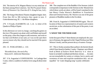264. The interior of St. Magnus Martyr is to my mind one of the finest among Wren's interiors. See *The Pro-posed Demolition of Nineteen City Churches* (P. S. King & Son, Ltd.).

266. The Song of the (three) Thames-daughters begins here. From line 202 to 306 inclusive they speak in turn. *V. Gotterdammerung*, III. i: the Rhine-daughters.

279. *V.* Froude, *ELIZABETH*, vol. I, ch. iv, letter of De Quadra to Philip of Spain:

In the afternoon we were in a barge, watching the games on the river. (The queen) was alone with Lord Robert and myself on the poop, when they began to talk nonsense, and went so far that Lord Robert at last said, as I was on the spot there was no reason why they should not be married if the queen pleased.

293. Cf. PURGATORIO, v. 133:

 'Ricorditi di me, che son la Pia; Siena mi fe', disfecemi Maremma.'

307. *V.* St. Augustine's CONFESSIONS: 'to Carthage then I came, where a cauldron of unholy loves sang all about mine ears'.

308. The complete text of the Buddha's Fire Sermon (which corresponds in importance to the Sermon on the Mount) from which these words are taken, will be found translated in the late Henry Clarke Warren's *Buddhism in Translation* (Harvard Oriental Series). Mr. Warren was one of the great pioneers of Buddhist studies in the Occident.

309. From St. Augustine's CONFESSIONS again. The collocation of these two representatives of eastern and western asceticism, as the culmination of this part of the poem, is not an accident.

# **V. WHAT THE THUNDER SAID**

In the first part of Part V three themes are employed: the journey to Emmaus, the approach to the Chapel Perilous (see Miss Weston's book), and the present decay of eastern Europe.

357. This is *Turdus aonalaschkae pallasii*, the hermit-thrush which I have heard in Quebec County. Chapman says (*Handbook of Birds of Eastern North America*) 'it is most at home in secluded woodland and thickety retreats … . Its notes are not remarkable for variety or volume, but in purity and sweetness of tone and exquisite modulation they are unequalled.' Its 'water-dripping song' is justly celebrated.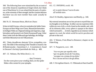360. The following lines were stimulated by the account of one of the Antarctic expeditions (I forget which, but I think one of Shackleton's): it was related that the party of explorers, at the extremity of their strength, had the constant delusion that there was *one more member* than could actually be counted.

366-76. Cf. Hermann Hesse, *Blick ins Chaos*:

Schon ist halb Europa, schon ist zumindest der halbe Osten Europas auf dem Wege zum Chaos, fährt betrunken im heiligen Wahn am Abgrund entlang und singt dazu, singt betrunken und hymnisch wie Dmitri Karamasoff sang. Ueber diese Lieder lacht der Bü rger beleidigt, der Heilige und Seher h&ouml:rt sie mit Tr&auml:nen.

401. 'Datta, dayadhvam, damyata' (Give, sympathize, control). The fable of the meaning of the Thunder is found in the *Brihadaranyaka—Upanishad*, 5, 1. A translation is found in Deussen's *Sechzig Upanishads des Veda*, p. 489.

407. Cf. Webster, *The White Devil*, v. vi:

 … they'll remarry Ere the worm pierce your winding-sheet, ere the spider Make a thin curtain for your epitaphs.

411. Cf. INFERNO, xxxiii. 46:

 ed io sentii chiavar l'uscio di sotto all'orribile torre.

Also F. H. Bradley, *Appearance and Reality*, p. 346:

My external sensations are no less private to myself than are my thoughts or my feelings. In either case my experience falls within my own circle, a circle closed on the outside; and, with all its elements alike, every sphere is opaque to the others which surround it… . In brief, regarded as an existence which appears in a soul, the whole world for each is peculiar and private to that soul.

424. *V.* Weston, *From Ritual to Romance*; chapter on the Fisher King.

427. *V. Purgatorio*, xxvi. 148.

 'Ara vos prec per aquella valor 'que vos guida al som de l'escalina, 'sovegna vos a temps de ma dolor.' Poi s'ascose nel foco che gli affina.

428. *V. Pervigilium Veneris*. Cf. Philomela in Parts II and III.